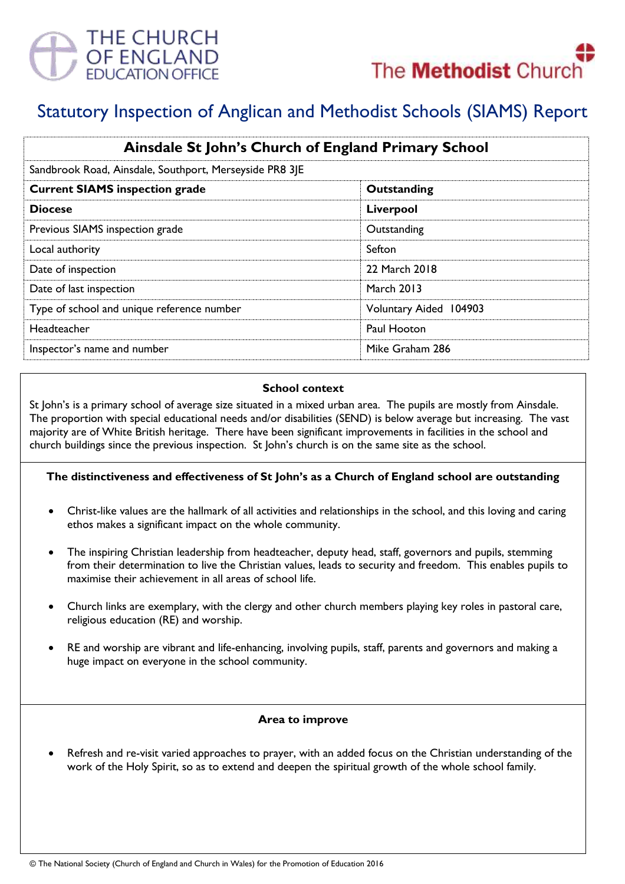



# Statutory Inspection of Anglican and Methodist Schools (SIAMS) Report

| Ainsdale St John's Church of England Primary School     |                        |
|---------------------------------------------------------|------------------------|
| Sandbrook Road, Ainsdale, Southport, Merseyside PR8 3JE |                        |
| <b>Current SIAMS inspection grade</b>                   | Outstanding            |
| <b>Diocese</b>                                          | Liverpool              |
| Previous SIAMS inspection grade                         | Outstanding            |
| Local authority                                         | Sefton                 |
| Date of inspection                                      | 22 March 2018          |
| Date of last inspection                                 | <b>March 2013</b>      |
| Type of school and unique reference number              | Voluntary Aided 104903 |
| Headteacher                                             | Paul Hooton            |
| Inspector's name and number                             | Mike Graham 286        |

#### **School context**

St John's is a primary school of average size situated in a mixed urban area. The pupils are mostly from Ainsdale. The proportion with special educational needs and/or disabilities (SEND) is below average but increasing. The vast majority are of White British heritage. There have been significant improvements in facilities in the school and church buildings since the previous inspection. St John's church is on the same site as the school.

## **The distinctiveness and effectiveness of St John's as a Church of England school are outstanding**

- Christ-like values are the hallmark of all activities and relationships in the school, and this loving and caring ethos makes a significant impact on the whole community.
- The inspiring Christian leadership from headteacher, deputy head, staff, governors and pupils, stemming from their determination to live the Christian values, leads to security and freedom. This enables pupils to maximise their achievement in all areas of school life.
- Church links are exemplary, with the clergy and other church members playing key roles in pastoral care, religious education (RE) and worship.
- RE and worship are vibrant and life-enhancing, involving pupils, staff, parents and governors and making a huge impact on everyone in the school community.

#### **Area to improve**

 Refresh and re-visit varied approaches to prayer, with an added focus on the Christian understanding of the work of the Holy Spirit, so as to extend and deepen the spiritual growth of the whole school family.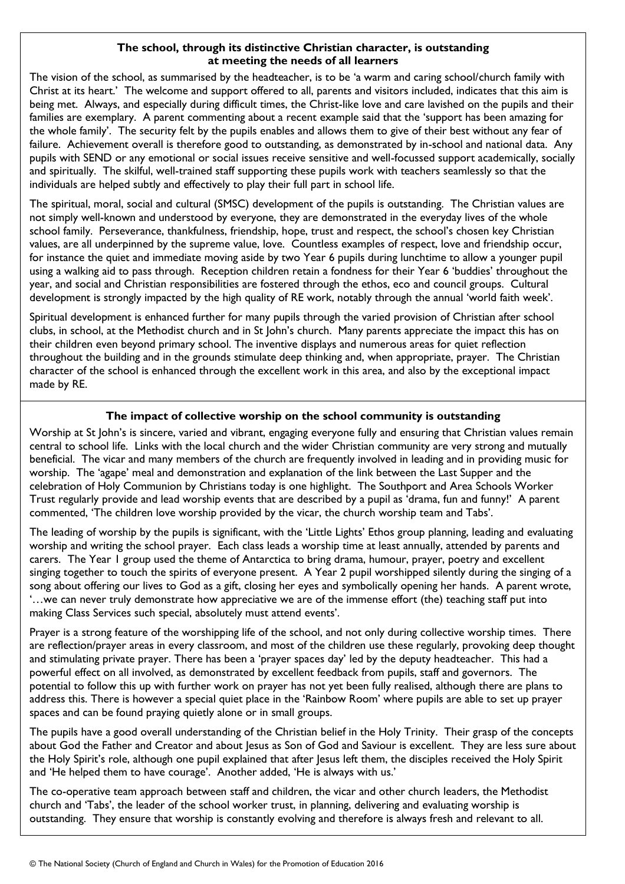### **The school, through its distinctive Christian character, is outstanding at meeting the needs of all learners**

The vision of the school, as summarised by the headteacher, is to be 'a warm and caring school/church family with Christ at its heart.' The welcome and support offered to all, parents and visitors included, indicates that this aim is being met. Always, and especially during difficult times, the Christ-like love and care lavished on the pupils and their families are exemplary. A parent commenting about a recent example said that the 'support has been amazing for the whole family'. The security felt by the pupils enables and allows them to give of their best without any fear of failure. Achievement overall is therefore good to outstanding, as demonstrated by in-school and national data. Any pupils with SEND or any emotional or social issues receive sensitive and well-focussed support academically, socially and spiritually. The skilful, well-trained staff supporting these pupils work with teachers seamlessly so that the individuals are helped subtly and effectively to play their full part in school life.

The spiritual, moral, social and cultural (SMSC) development of the pupils is outstanding. The Christian values are not simply well-known and understood by everyone, they are demonstrated in the everyday lives of the whole school family. Perseverance, thankfulness, friendship, hope, trust and respect, the school's chosen key Christian values, are all underpinned by the supreme value, love. Countless examples of respect, love and friendship occur, for instance the quiet and immediate moving aside by two Year 6 pupils during lunchtime to allow a younger pupil using a walking aid to pass through. Reception children retain a fondness for their Year 6 'buddies' throughout the year, and social and Christian responsibilities are fostered through the ethos, eco and council groups. Cultural development is strongly impacted by the high quality of RE work, notably through the annual 'world faith week'.

Spiritual development is enhanced further for many pupils through the varied provision of Christian after school clubs, in school, at the Methodist church and in St John's church. Many parents appreciate the impact this has on their children even beyond primary school. The inventive displays and numerous areas for quiet reflection throughout the building and in the grounds stimulate deep thinking and, when appropriate, prayer. The Christian character of the school is enhanced through the excellent work in this area, and also by the exceptional impact made by RE.

## **The impact of collective worship on the school community is outstanding**

Worship at St John's is sincere, varied and vibrant, engaging everyone fully and ensuring that Christian values remain central to school life. Links with the local church and the wider Christian community are very strong and mutually beneficial. The vicar and many members of the church are frequently involved in leading and in providing music for worship. The 'agape' meal and demonstration and explanation of the link between the Last Supper and the celebration of Holy Communion by Christians today is one highlight. The Southport and Area Schools Worker Trust regularly provide and lead worship events that are described by a pupil as 'drama, fun and funny!' A parent commented, 'The children love worship provided by the vicar, the church worship team and Tabs'.

The leading of worship by the pupils is significant, with the 'Little Lights' Ethos group planning, leading and evaluating worship and writing the school prayer. Each class leads a worship time at least annually, attended by parents and carers. The Year 1 group used the theme of Antarctica to bring drama, humour, prayer, poetry and excellent singing together to touch the spirits of everyone present. A Year 2 pupil worshipped silently during the singing of a song about offering our lives to God as a gift, closing her eyes and symbolically opening her hands. A parent wrote, '…we can never truly demonstrate how appreciative we are of the immense effort (the) teaching staff put into making Class Services such special, absolutely must attend events'.

Prayer is a strong feature of the worshipping life of the school, and not only during collective worship times. There are reflection/prayer areas in every classroom, and most of the children use these regularly, provoking deep thought and stimulating private prayer. There has been a 'prayer spaces day' led by the deputy headteacher. This had a powerful effect on all involved, as demonstrated by excellent feedback from pupils, staff and governors. The potential to follow this up with further work on prayer has not yet been fully realised, although there are plans to address this. There is however a special quiet place in the 'Rainbow Room' where pupils are able to set up prayer spaces and can be found praying quietly alone or in small groups.

The pupils have a good overall understanding of the Christian belief in the Holy Trinity. Their grasp of the concepts about God the Father and Creator and about Jesus as Son of God and Saviour is excellent. They are less sure about the Holy Spirit's role, although one pupil explained that after Jesus left them, the disciples received the Holy Spirit and 'He helped them to have courage'. Another added, 'He is always with us.'

The co-operative team approach between staff and children, the vicar and other church leaders, the Methodist church and 'Tabs', the leader of the school worker trust, in planning, delivering and evaluating worship is outstanding. They ensure that worship is constantly evolving and therefore is always fresh and relevant to all.